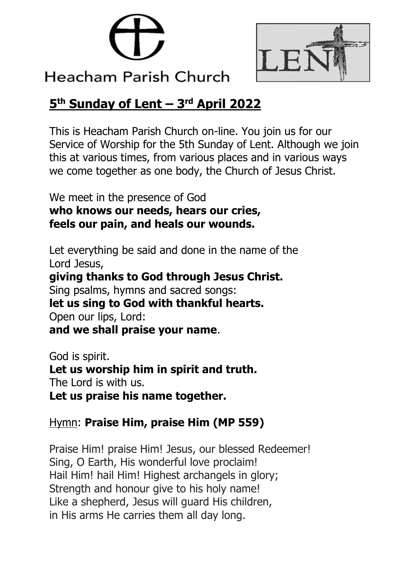



# **Heacham Parish Church**

# **5 th Sunday of Lent – 3 rd April 2022**

This is Heacham Parish Church on-line. You join us for our Service of Worship for the 5th Sunday of Lent. Although we join this at various times, from various places and in various ways we come together as one body, the Church of Jesus Christ.

We meet in the presence of God **who knows our needs, hears our cries, feels our pain, and heals our wounds.**

Let everything be said and done in the name of the Lord Jesus, **giving thanks to God through Jesus Christ.** Sing psalms, hymns and sacred songs: **let us sing to God with thankful hearts.** Open our lips, Lord: **and we shall praise your name**.

God is spirit. **Let us worship him in spirit and truth.** The Lord is with us. **Let us praise his name together.**

# Hymn: **Praise Him, praise Him (MP 559)**

Praise Him! praise Him! Jesus, our blessed Redeemer! Sing, O Earth, His wonderful love proclaim! Hail Him! hail Him! Highest archangels in glory; Strength and honour give to his holy name! Like a shepherd, Jesus will guard His children, in His arms He carries them all day long.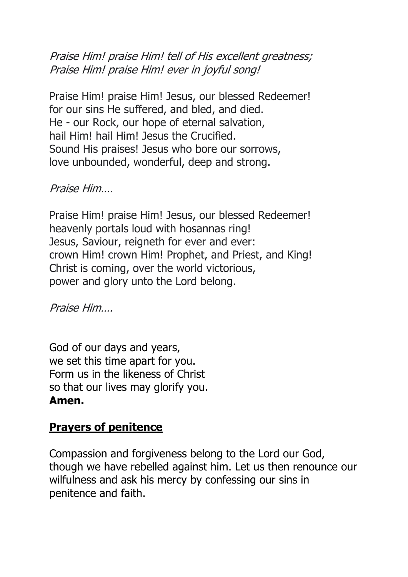Praise Him! praise Him! tell of His excellent greatness; Praise Him! praise Him! ever in joyful song!

Praise Him! praise Him! Jesus, our blessed Redeemer! for our sins He suffered, and bled, and died. He - our Rock, our hope of eternal salvation, hail Him! hail Him! Jesus the Crucified. Sound His praises! Jesus who bore our sorrows, love unbounded, wonderful, deep and strong.

#### Praise Him….

Praise Him! praise Him! Jesus, our blessed Redeemer! heavenly portals loud with hosannas ring! Jesus, Saviour, reigneth for ever and ever: crown Him! crown Him! Prophet, and Priest, and King! Christ is coming, over the world victorious, power and glory unto the Lord belong.

Praise Him….

God of our days and years, we set this time apart for you. Form us in the likeness of Christ so that our lives may glorify you. **Amen.**

#### **Prayers of penitence**

Compassion and forgiveness belong to the Lord our God, though we have rebelled against him. Let us then renounce our wilfulness and ask his mercy by confessing our sins in penitence and faith.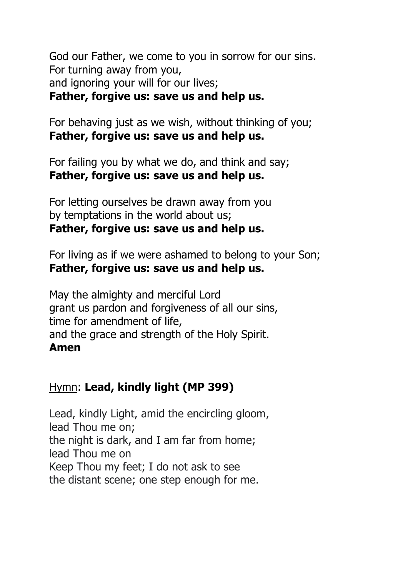God our Father, we come to you in sorrow for our sins. For turning away from you, and ignoring your will for our lives; **Father, forgive us: save us and help us.**

For behaving just as we wish, without thinking of you; **Father, forgive us: save us and help us.**

For failing you by what we do, and think and say; **Father, forgive us: save us and help us.**

For letting ourselves be drawn away from you by temptations in the world about us; **Father, forgive us: save us and help us.**

For living as if we were ashamed to belong to your Son; **Father, forgive us: save us and help us.**

May the almighty and merciful Lord grant us pardon and forgiveness of all our sins, time for amendment of life, and the grace and strength of the Holy Spirit. **Amen**

#### Hymn: **Lead, kindly light (MP 399)**

Lead, kindly Light, amid the encircling gloom, lead Thou me on; the night is dark, and I am far from home; lead Thou me on Keep Thou my feet; I do not ask to see the distant scene; one step enough for me.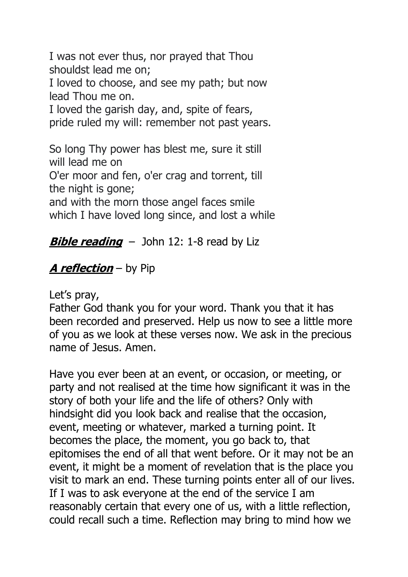I was not ever thus, nor prayed that Thou shouldst lead me on; I loved to choose, and see my path; but now lead Thou me on. I loved the garish day, and, spite of fears, pride ruled my will: remember not past years.

So long Thy power has blest me, sure it still will lead me on O'er moor and fen, o'er crag and torrent, till the night is gone;

and with the morn those angel faces smile which I have loved long since, and lost a while

# **Bible reading** – John 12: 1-8 read by Liz

# **A reflection** – by Pip

Let's pray,

Father God thank you for your word. Thank you that it has been recorded and preserved. Help us now to see a little more of you as we look at these verses now. We ask in the precious name of Jesus. Amen.

Have you ever been at an event, or occasion, or meeting, or party and not realised at the time how significant it was in the story of both your life and the life of others? Only with hindsight did you look back and realise that the occasion, event, meeting or whatever, marked a turning point. It becomes the place, the moment, you go back to, that epitomises the end of all that went before. Or it may not be an event, it might be a moment of revelation that is the place you visit to mark an end. These turning points enter all of our lives. If I was to ask everyone at the end of the service I am reasonably certain that every one of us, with a little reflection, could recall such a time. Reflection may bring to mind how we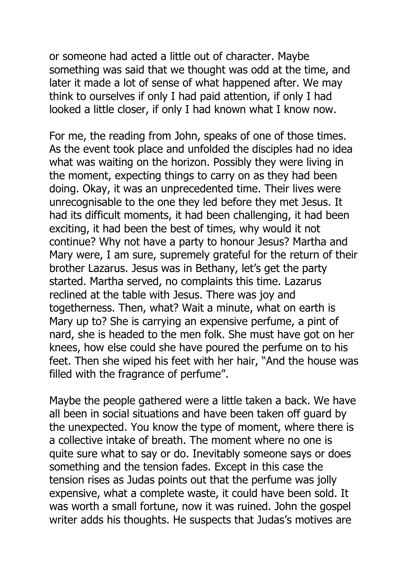or someone had acted a little out of character. Maybe something was said that we thought was odd at the time, and later it made a lot of sense of what happened after. We may think to ourselves if only I had paid attention, if only I had looked a little closer, if only I had known what I know now.

For me, the reading from John, speaks of one of those times. As the event took place and unfolded the disciples had no idea what was waiting on the horizon. Possibly they were living in the moment, expecting things to carry on as they had been doing. Okay, it was an unprecedented time. Their lives were unrecognisable to the one they led before they met Jesus. It had its difficult moments, it had been challenging, it had been exciting, it had been the best of times, why would it not continue? Why not have a party to honour Jesus? Martha and Mary were, I am sure, supremely grateful for the return of their brother Lazarus. Jesus was in Bethany, let's get the party started. Martha served, no complaints this time. Lazarus reclined at the table with Jesus. There was joy and togetherness. Then, what? Wait a minute, what on earth is Mary up to? She is carrying an expensive perfume, a pint of nard, she is headed to the men folk. She must have got on her knees, how else could she have poured the perfume on to his feet. Then she wiped his feet with her hair, "And the house was filled with the fragrance of perfume".

Maybe the people gathered were a little taken a back. We have all been in social situations and have been taken off guard by the unexpected. You know the type of moment, where there is a collective intake of breath. The moment where no one is quite sure what to say or do. Inevitably someone says or does something and the tension fades. Except in this case the tension rises as Judas points out that the perfume was jolly expensive, what a complete waste, it could have been sold. It was worth a small fortune, now it was ruined. John the gospel writer adds his thoughts. He suspects that Judas's motives are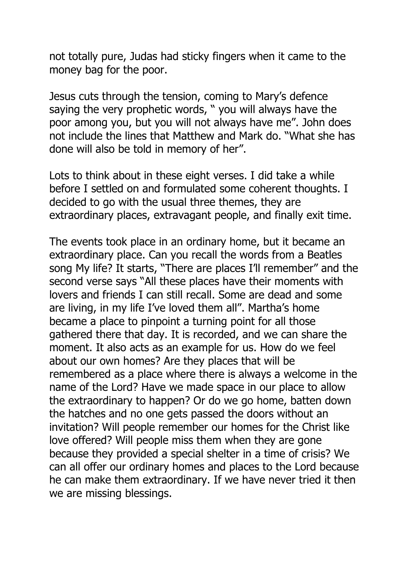not totally pure, Judas had sticky fingers when it came to the money bag for the poor.

Jesus cuts through the tension, coming to Mary's defence saying the very prophetic words, " you will always have the poor among you, but you will not always have me". John does not include the lines that Matthew and Mark do. "What she has done will also be told in memory of her".

Lots to think about in these eight verses. I did take a while before I settled on and formulated some coherent thoughts. I decided to go with the usual three themes, they are extraordinary places, extravagant people, and finally exit time.

The events took place in an ordinary home, but it became an extraordinary place. Can you recall the words from a Beatles song My life? It starts, "There are places I'll remember" and the second verse says "All these places have their moments with lovers and friends I can still recall. Some are dead and some are living, in my life I've loved them all". Martha's home became a place to pinpoint a turning point for all those gathered there that day. It is recorded, and we can share the moment. It also acts as an example for us. How do we feel about our own homes? Are they places that will be remembered as a place where there is always a welcome in the name of the Lord? Have we made space in our place to allow the extraordinary to happen? Or do we go home, batten down the hatches and no one gets passed the doors without an invitation? Will people remember our homes for the Christ like love offered? Will people miss them when they are gone because they provided a special shelter in a time of crisis? We can all offer our ordinary homes and places to the Lord because he can make them extraordinary. If we have never tried it then we are missing blessings.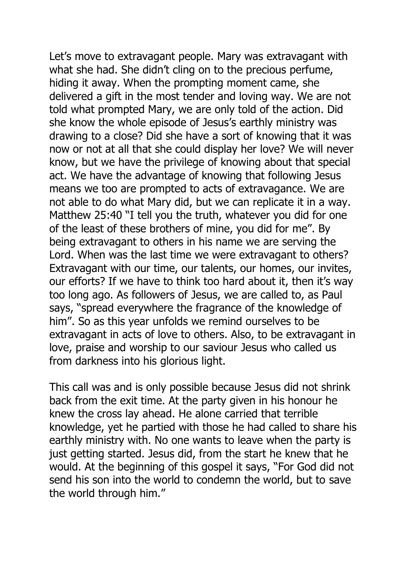Let's move to extravagant people. Mary was extravagant with what she had. She didn't cling on to the precious perfume, hiding it away. When the prompting moment came, she delivered a gift in the most tender and loving way. We are not told what prompted Mary, we are only told of the action. Did she know the whole episode of Jesus's earthly ministry was drawing to a close? Did she have a sort of knowing that it was now or not at all that she could display her love? We will never know, but we have the privilege of knowing about that special act. We have the advantage of knowing that following Jesus means we too are prompted to acts of extravagance. We are not able to do what Mary did, but we can replicate it in a way. Matthew 25:40 "I tell you the truth, whatever you did for one of the least of these brothers of mine, you did for me". By being extravagant to others in his name we are serving the Lord. When was the last time we were extravagant to others? Extravagant with our time, our talents, our homes, our invites, our efforts? If we have to think too hard about it, then it's way too long ago. As followers of Jesus, we are called to, as Paul says, "spread everywhere the fragrance of the knowledge of him". So as this year unfolds we remind ourselves to be extravagant in acts of love to others. Also, to be extravagant in love, praise and worship to our saviour Jesus who called us from darkness into his glorious light.

This call was and is only possible because Jesus did not shrink back from the exit time. At the party given in his honour he knew the cross lay ahead. He alone carried that terrible knowledge, yet he partied with those he had called to share his earthly ministry with. No one wants to leave when the party is just getting started. Jesus did, from the start he knew that he would. At the beginning of this gospel it says, "For God did not send his son into the world to condemn the world, but to save the world through him."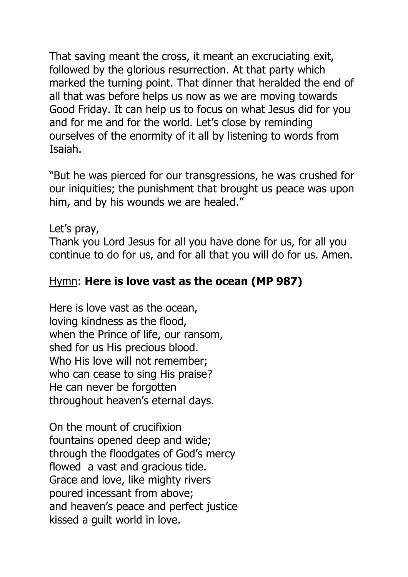That saving meant the cross, it meant an excruciating exit, followed by the glorious resurrection. At that party which marked the turning point. That dinner that heralded the end of all that was before helps us now as we are moving towards Good Friday. It can help us to focus on what Jesus did for you and for me and for the world. Let's close by reminding ourselves of the enormity of it all by listening to words from Isaiah.

"But he was pierced for our transgressions, he was crushed for our iniquities; the punishment that brought us peace was upon him, and by his wounds we are healed."

Let's pray,

Thank you Lord Jesus for all you have done for us, for all you continue to do for us, and for all that you will do for us. Amen.

#### Hymn: **Here is love vast as the ocean (MP 987)**

Here is love vast as the ocean, loving kindness as the flood, when the Prince of life, our ransom, shed for us His precious blood. Who His love will not remember; who can cease to sing His praise? He can never be forgotten throughout heaven's eternal days.

On the mount of crucifixion fountains opened deep and wide; through the floodgates of God's mercy flowed a vast and gracious tide. Grace and love, like mighty rivers poured incessant from above; and heaven's peace and perfect justice kissed a guilt world in love.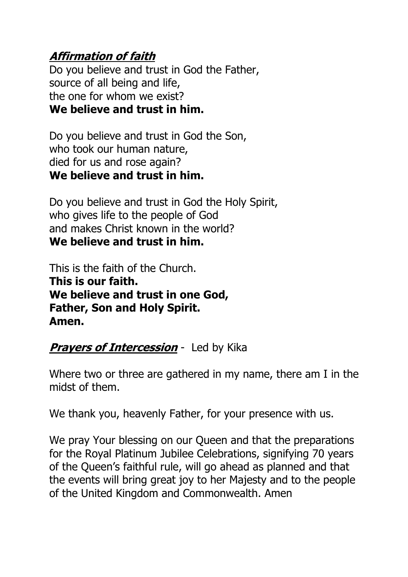# **Affirmation of faith**

Do you believe and trust in God the Father, source of all being and life, the one for whom we exist? **We believe and trust in him.**

Do you believe and trust in God the Son, who took our human nature, died for us and rose again? **We believe and trust in him.**

Do you believe and trust in God the Holy Spirit, who gives life to the people of God and makes Christ known in the world? **We believe and trust in him.**

This is the faith of the Church. **This is our faith. We believe and trust in one God, Father, Son and Holy Spirit. Amen.**

# **Prayers of Intercession** - Led by Kika

Where two or three are gathered in my name, there am I in the midst of them.

We thank you, heavenly Father, for your presence with us.

We pray Your blessing on our Queen and that the preparations for the Royal Platinum Jubilee Celebrations, signifying 70 years of the Queen's faithful rule, will go ahead as planned and that the events will bring great joy to her Majesty and to the people of the United Kingdom and Commonwealth. Amen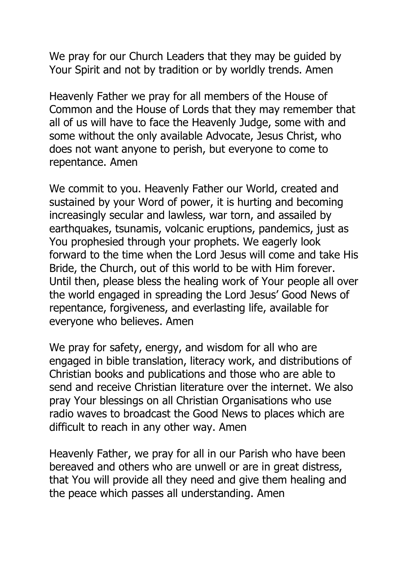We pray for our Church Leaders that they may be quided by Your Spirit and not by tradition or by worldly trends. Amen

Heavenly Father we pray for all members of the House of Common and the House of Lords that they may remember that all of us will have to face the Heavenly Judge, some with and some without the only available Advocate, Jesus Christ, who does not want anyone to perish, but everyone to come to repentance. Amen

We commit to you. Heavenly Father our World, created and sustained by your Word of power, it is hurting and becoming increasingly secular and lawless, war torn, and assailed by earthquakes, tsunamis, volcanic eruptions, pandemics, just as You prophesied through your prophets. We eagerly look forward to the time when the Lord Jesus will come and take His Bride, the Church, out of this world to be with Him forever. Until then, please bless the healing work of Your people all over the world engaged in spreading the Lord Jesus' Good News of repentance, forgiveness, and everlasting life, available for everyone who believes. Amen

We pray for safety, energy, and wisdom for all who are engaged in bible translation, literacy work, and distributions of Christian books and publications and those who are able to send and receive Christian literature over the internet. We also pray Your blessings on all Christian Organisations who use radio waves to broadcast the Good News to places which are difficult to reach in any other way. Amen

Heavenly Father, we pray for all in our Parish who have been bereaved and others who are unwell or are in great distress, that You will provide all they need and give them healing and the peace which passes all understanding. Amen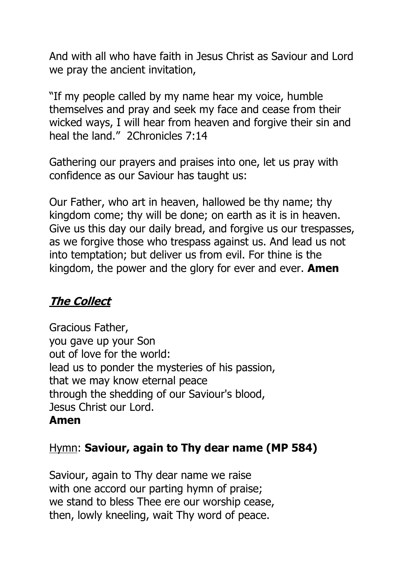And with all who have faith in Jesus Christ as Saviour and Lord we pray the ancient invitation,

"If my people called by my name hear my voice, humble themselves and pray and seek my face and cease from their wicked ways, I will hear from heaven and forgive their sin and heal the land." 2Chronicles 7:14

Gathering our prayers and praises into one, let us pray with confidence as our Saviour has taught us:

Our Father, who art in heaven, hallowed be thy name; thy kingdom come; thy will be done; on earth as it is in heaven. Give us this day our daily bread, and forgive us our trespasses, as we forgive those who trespass against us. And lead us not into temptation; but deliver us from evil. For thine is the kingdom, the power and the glory for ever and ever. **Amen**

# **The Collect**

Gracious Father, you gave up your Son out of love for the world: lead us to ponder the mysteries of his passion, that we may know eternal peace through the shedding of our Saviour's blood, Jesus Christ our Lord.

#### **Amen**

#### Hymn: **Saviour, again to Thy dear name (MP 584)**

Saviour, again to Thy dear name we raise with one accord our parting hymn of praise; we stand to bless Thee ere our worship cease, then, lowly kneeling, wait Thy word of peace.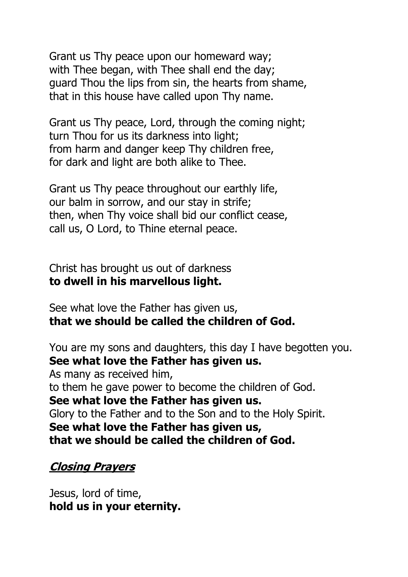Grant us Thy peace upon our homeward way; with Thee began, with Thee shall end the day; guard Thou the lips from sin, the hearts from shame, that in this house have called upon Thy name.

Grant us Thy peace, Lord, through the coming night; turn Thou for us its darkness into light; from harm and danger keep Thy children free, for dark and light are both alike to Thee.

Grant us Thy peace throughout our earthly life, our balm in sorrow, and our stay in strife; then, when Thy voice shall bid our conflict cease, call us, O Lord, to Thine eternal peace.

Christ has brought us out of darkness **to dwell in his marvellous light.**

See what love the Father has given us, **that we should be called the children of God.**

You are my sons and daughters, this day I have begotten you. **See what love the Father has given us.** As many as received him, to them he gave power to become the children of God. **See what love the Father has given us.** Glory to the Father and to the Son and to the Holy Spirit. **See what love the Father has given us, that we should be called the children of God.**

#### **Closing Prayers**

Jesus, lord of time, **hold us in your eternity.**